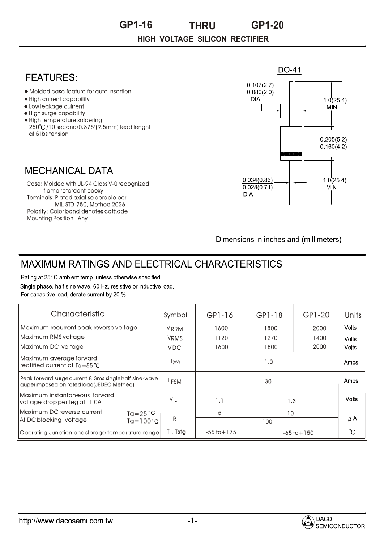**HIGH VOLTAGE SILICON RECTIFIER GP1-16 THRU GP1-20**

## DO-41 **FFATURFS:**  $0.107(2.7)$ Molded case feature for auto insertion  $0.080(2.0)$ High current capability DIA.  $10(254)$ MIN. • Low leakage cuirrent High surge capability • High temperature soldering: 250 /10 second/0.375"(9.5mm) lead lenght at 5 lbs tension  $0.205(5.2)$  $0.160(4.2)$ **MECHANICAL DATA**  $0.034(0.86)$  $1.0(25.4)$ Case: Molded with UL-94 Class V-0 recognized  $0.028(0.71)$ MIN. flame retardant epoxy DIA. Terminals: Plated axial solderable per per MIL-STD-750, Method 2026 Polarity: Color band denotes cathode Mounting Position : Any

Dimensions in inches and (millimeters)

## **MAXIMUM RATINGS AND ELECTRICAL CHARACTERISTICS**

Rating at 25°C ambient temp. unless otherwise specified. Single phase, half sine wave, 60 Hz, resistive or inductive load. For capacitive load, derate current by 20 %.

| Characteristic                                                                                      | Symbol           | $GP1-16$        | GP1-18          | GP1-20 | Units        |
|-----------------------------------------------------------------------------------------------------|------------------|-----------------|-----------------|--------|--------------|
| Maximum recurrent peak reverse voltage                                                              | <b>VRRM</b>      | 1600            | 1800            | 2000   | <b>Volts</b> |
| Maximum RMS voltage                                                                                 | <b>VRMS</b>      | 1120            | 1270            | 1400   | <b>Volts</b> |
| Maximum DC voltage                                                                                  | <b>VDC</b>       | 1600            | 1800            | 2000   | <b>Volts</b> |
| Maximum average forward<br>rectified current at $Ta = 55^{\circ}C$                                  | (AV)             | 1.0             |                 |        | Amps         |
| Peak forward surge current, 8.3ms single half sine-wave<br>auperimposed on rated load(JEDEC Methed) | <sup>I</sup> FSM | 30              |                 |        | Amps         |
| Maximum instantaneous forward<br>voltage drop per leg at 1.0A                                       | $V_F$            | 1.1             | 1.3             |        | <b>Volts</b> |
| Maximum DC reverse current<br>$Ta = 25^{\circ}C$                                                    |                  | 5               | 10              |        |              |
| At DC blocking voltage<br>Ta=100°C                                                                  | <sup>1</sup> R   | 100             |                 |        | $\mu$ A      |
| Operating Junction and storage temperature range                                                    | TJ, Tstg         | $-55$ to $+175$ | $-65$ to $+150$ |        | °C           |